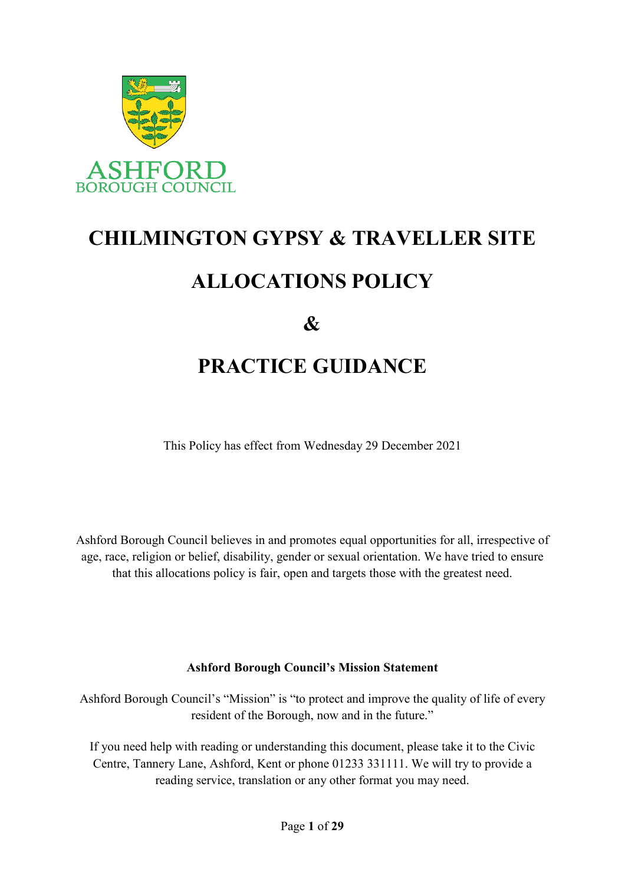

# **CHILMINGTON GYPSY & TRAVELLER SITE ALLOCATIONS POLICY**

 $\mathcal{X}$ 

# **PRACTICE GUIDANCE**

This Policy has effect from Wednesday 29 December 2021

Ashford Borough Council believes in and promotes equal opportunities for all, irrespective of age, race, religion or belief, disability, gender or sexual orientation. We have tried to ensure that this allocations policy is fair, open and targets those with the greatest need.

# **Ashford Borough Council's Mission Statement**

Ashford Borough Council's "Mission" is "to protect and improve the quality of life of every resident of the Borough, now and in the future."

If you need help with reading or understanding this document, please take it to the Civic Centre, Tannery Lane, Ashford, Kent or phone 01233 331111. We will try to provide a reading service, translation or any other format you may need.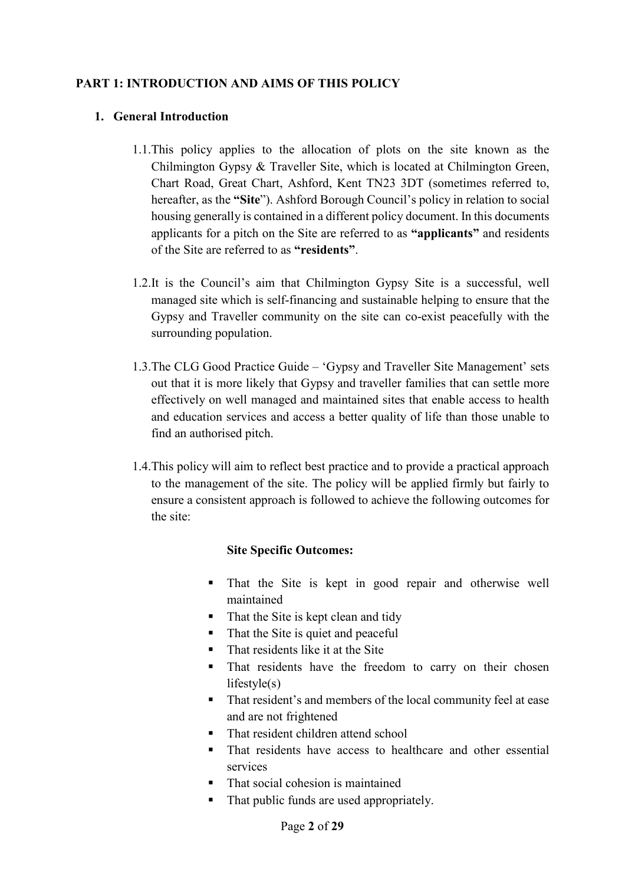# **PART 1: INTRODUCTION AND AIMS OF THIS POLICY**

#### **1. General Introduction**

- 1.1.This policy applies to the allocation of plots on the site known as the Chilmington Gypsy & Traveller Site, which is located at Chilmington Green, Chart Road, Great Chart, Ashford, Kent TN23 3DT (sometimes referred to, hereafter, as the **"Site**"). Ashford Borough Council's policy in relation to social housing generally is contained in a different policy document. In this documents applicants for a pitch on the Site are referred to as **"applicants"** and residents of the Site are referred to as **"residents"**.
- 1.2.It is the Council's aim that Chilmington Gypsy Site is a successful, well managed site which is self-financing and sustainable helping to ensure that the Gypsy and Traveller community on the site can co-exist peacefully with the surrounding population.
- 1.3.The CLG Good Practice Guide 'Gypsy and Traveller Site Management' sets out that it is more likely that Gypsy and traveller families that can settle more effectively on well managed and maintained sites that enable access to health and education services and access a better quality of life than those unable to find an authorised pitch.
- 1.4.This policy will aim to reflect best practice and to provide a practical approach to the management of the site. The policy will be applied firmly but fairly to ensure a consistent approach is followed to achieve the following outcomes for the site:

#### **Site Specific Outcomes:**

- That the Site is kept in good repair and otherwise well maintained
- $\blacksquare$  That the Site is kept clean and tidy
- That the Site is quiet and peaceful
- That residents like it at the Site
- That residents have the freedom to carry on their chosen lifestyle(s)
- That resident's and members of the local community feel at ease and are not frightened
- That resident children attend school
- That residents have access to healthcare and other essential services
- That social cohesion is maintained
- That public funds are used appropriately.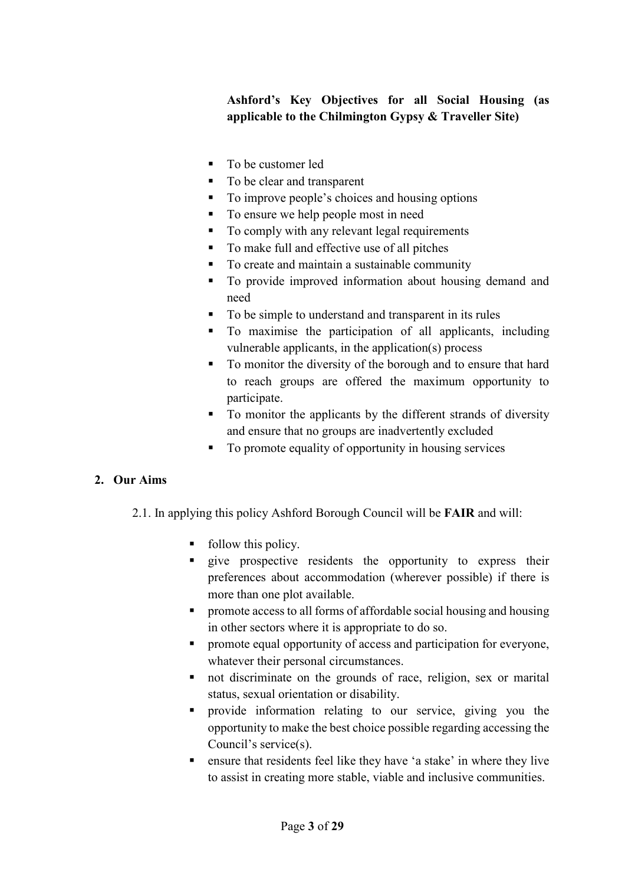**Ashford's Key Objectives for all Social Housing (as applicable to the Chilmington Gypsy & Traveller Site)**

- To be customer led
- To be clear and transparent
- To improve people's choices and housing options
- To ensure we help people most in need
- To comply with any relevant legal requirements
- To make full and effective use of all pitches
- To create and maintain a sustainable community
- To provide improved information about housing demand and need
- To be simple to understand and transparent in its rules
- To maximise the participation of all applicants, including vulnerable applicants, in the application(s) process
- To monitor the diversity of the borough and to ensure that hard to reach groups are offered the maximum opportunity to participate.
- To monitor the applicants by the different strands of diversity and ensure that no groups are inadvertently excluded
- To promote equality of opportunity in housing services

# **2. Our Aims**

- 2.1. In applying this policy Ashford Borough Council will be **FAIR** and will:
	- follow this policy.
	- **q** give prospective residents the opportunity to express their preferences about accommodation (wherever possible) if there is more than one plot available.
	- **Peromote access to all forms of affordable social housing and housing** in other sectors where it is appropriate to do so.
	- **•** promote equal opportunity of access and participation for everyone, whatever their personal circumstances.
	- not discriminate on the grounds of race, religion, sex or marital status, sexual orientation or disability.
	- provide information relating to our service, giving you the opportunity to make the best choice possible regarding accessing the Council's service(s).
	- ensure that residents feel like they have 'a stake' in where they live to assist in creating more stable, viable and inclusive communities.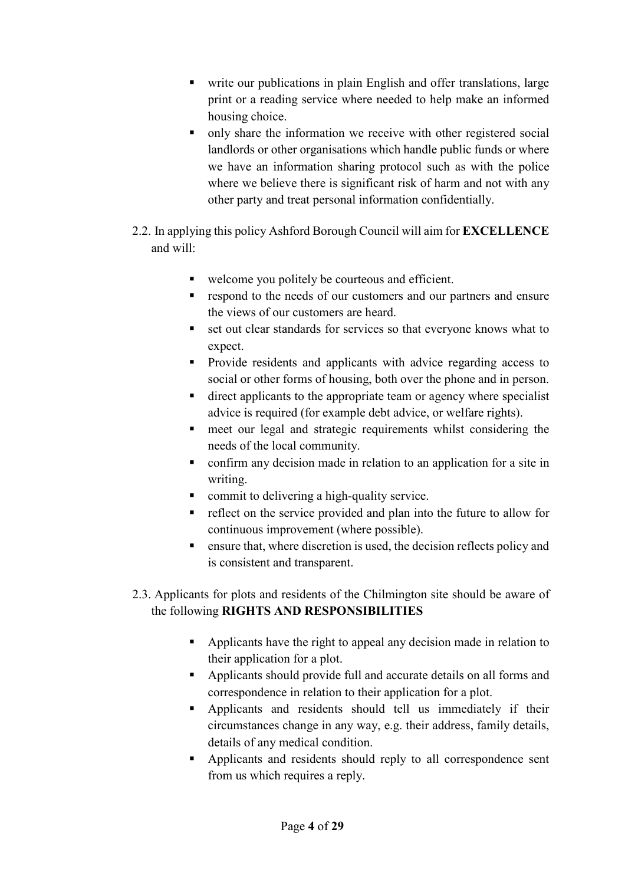- write our publications in plain English and offer translations, large print or a reading service where needed to help make an informed housing choice.
- only share the information we receive with other registered social landlords or other organisations which handle public funds or where we have an information sharing protocol such as with the police where we believe there is significant risk of harm and not with any other party and treat personal information confidentially.
- 2.2. In applying this policy Ashford Borough Council will aim for **EXCELLENCE**  and will:
	- welcome you politely be courteous and efficient.
	- **respond to the needs of our customers and our partners and ensure** the views of our customers are heard.
	- set out clear standards for services so that everyone knows what to expect.
	- **Provide residents and applicants with advice regarding access to** social or other forms of housing, both over the phone and in person.
	- direct applicants to the appropriate team or agency where specialist advice is required (for example debt advice, or welfare rights).
	- meet our legal and strategic requirements whilst considering the needs of the local community.
	- confirm any decision made in relation to an application for a site in writing.
	- commit to delivering a high-quality service.
	- reflect on the service provided and plan into the future to allow for continuous improvement (where possible).
	- **Example 1** ensure that, where discretion is used, the decision reflects policy and is consistent and transparent.
- 2.3. Applicants for plots and residents of the Chilmington site should be aware of the following **RIGHTS AND RESPONSIBILITIES**
	- Applicants have the right to appeal any decision made in relation to their application for a plot.
	- Applicants should provide full and accurate details on all forms and correspondence in relation to their application for a plot.
	- Applicants and residents should tell us immediately if their circumstances change in any way, e.g. their address, family details, details of any medical condition.
	- Applicants and residents should reply to all correspondence sent from us which requires a reply.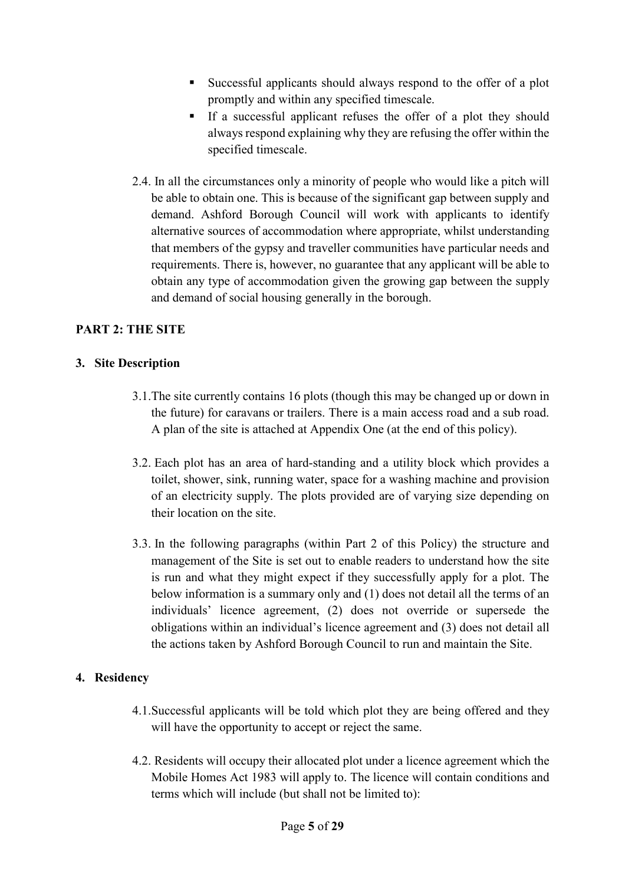- Successful applicants should always respond to the offer of a plot promptly and within any specified timescale.
- If a successful applicant refuses the offer of a plot they should always respond explaining why they are refusing the offer within the specified timescale.
- 2.4. In all the circumstances only a minority of people who would like a pitch will be able to obtain one. This is because of the significant gap between supply and demand. Ashford Borough Council will work with applicants to identify alternative sources of accommodation where appropriate, whilst understanding that members of the gypsy and traveller communities have particular needs and requirements. There is, however, no guarantee that any applicant will be able to obtain any type of accommodation given the growing gap between the supply and demand of social housing generally in the borough.

#### **PART 2: THE SITE**

#### **3. Site Description**

- 3.1.The site currently contains 16 plots (though this may be changed up or down in the future) for caravans or trailers. There is a main access road and a sub road. A plan of the site is attached at Appendix One (at the end of this policy).
- 3.2. Each plot has an area of hard-standing and a utility block which provides a toilet, shower, sink, running water, space for a washing machine and provision of an electricity supply. The plots provided are of varying size depending on their location on the site.
- 3.3. In the following paragraphs (within Part 2 of this Policy) the structure and management of the Site is set out to enable readers to understand how the site is run and what they might expect if they successfully apply for a plot. The below information is a summary only and (1) does not detail all the terms of an individuals' licence agreement, (2) does not override or supersede the obligations within an individual's licence agreement and (3) does not detail all the actions taken by Ashford Borough Council to run and maintain the Site.

#### **4. Residency**

- 4.1.Successful applicants will be told which plot they are being offered and they will have the opportunity to accept or reject the same.
- 4.2. Residents will occupy their allocated plot under a licence agreement which the Mobile Homes Act 1983 will apply to. The licence will contain conditions and terms which will include (but shall not be limited to):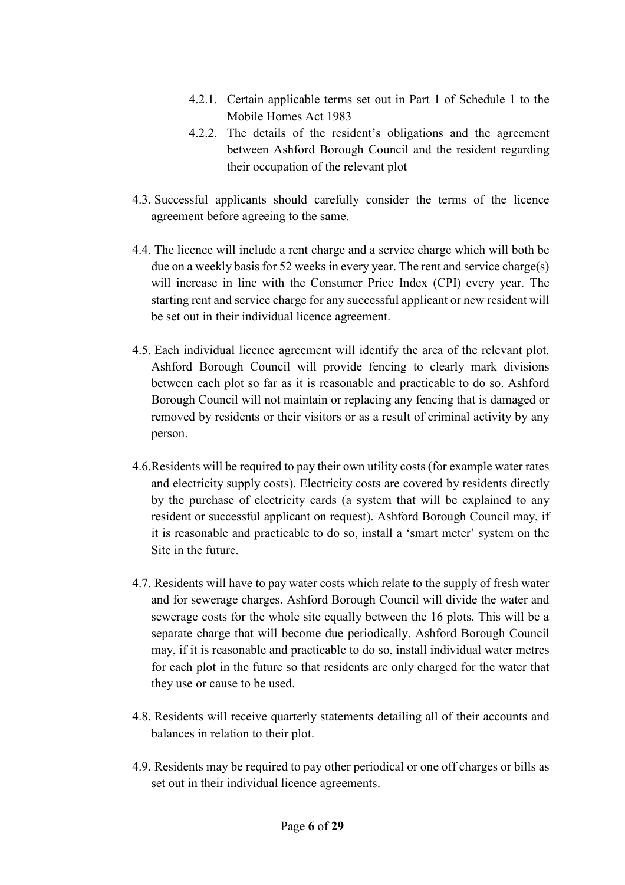- 4.2.1. Certain applicable terms set out in Part 1 of Schedule 1 to the Mobile Homes Act 1983
- 4.2.2. The details of the resident's obligations and the agreement between Ashford Borough Council and the resident regarding their occupation of the relevant plot
- 4.3. Successful applicants should carefully consider the terms of the licence agreement before agreeing to the same.
- 4.4. The licence will include a rent charge and a service charge which will both be due on a weekly basis for 52 weeks in every year. The rent and service charge(s) will increase in line with the Consumer Price Index (CPI) every year. The starting rent and service charge for any successful applicant or new resident will be set out in their individual licence agreement.
- 4.5. Each individual licence agreement will identify the area of the relevant plot. Ashford Borough Council will provide fencing to clearly mark divisions between each plot so far as it is reasonable and practicable to do so. Ashford Borough Council will not maintain or replacing any fencing that is damaged or removed by residents or their visitors or as a result of criminal activity by any person.
- 4.6.Residents will be required to pay their own utility costs (for example water rates and electricity supply costs). Electricity costs are covered by residents directly by the purchase of electricity cards (a system that will be explained to any resident or successful applicant on request). Ashford Borough Council may, if it is reasonable and practicable to do so, install a 'smart meter' system on the Site in the future.
- 4.7. Residents will have to pay water costs which relate to the supply of fresh water and for sewerage charges. Ashford Borough Council will divide the water and sewerage costs for the whole site equally between the 16 plots. This will be a separate charge that will become due periodically. Ashford Borough Council may, if it is reasonable and practicable to do so, install individual water metres for each plot in the future so that residents are only charged for the water that they use or cause to be used.
- 4.8. Residents will receive quarterly statements detailing all of their accounts and balances in relation to their plot.
- 4.9. Residents may be required to pay other periodical or one off charges or bills as set out in their individual licence agreements.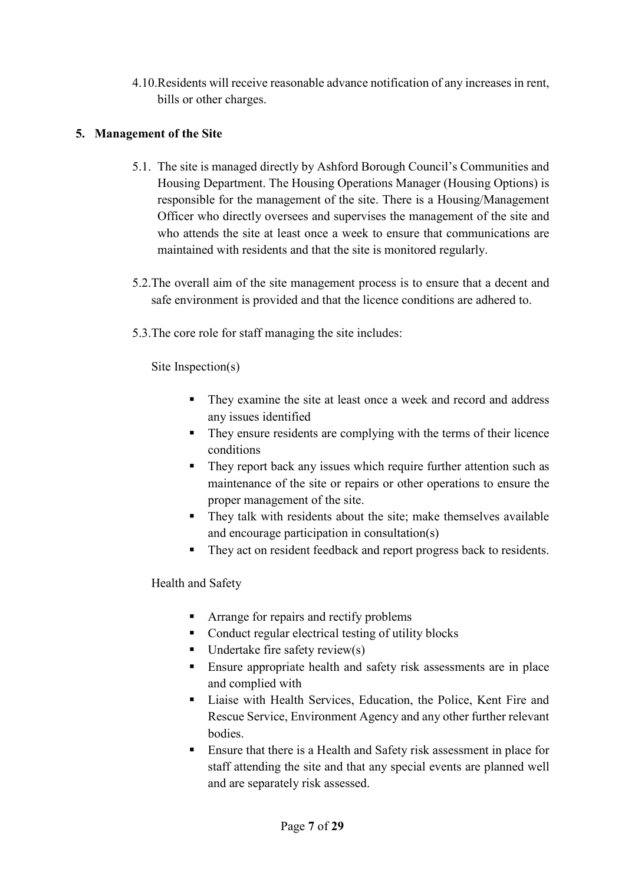4.10.Residents will receive reasonable advance notification of any increases in rent, bills or other charges.

# **5. Management of the Site**

- 5.1. The site is managed directly by Ashford Borough Council's Communities and Housing Department. The Housing Operations Manager (Housing Options) is responsible for the management of the site. There is a Housing/Management Officer who directly oversees and supervises the management of the site and who attends the site at least once a week to ensure that communications are maintained with residents and that the site is monitored regularly.
- 5.2.The overall aim of the site management process is to ensure that a decent and safe environment is provided and that the licence conditions are adhered to.
- 5.3.The core role for staff managing the site includes:

Site Inspection(s)

- They examine the site at least once a week and record and address any issues identified
- They ensure residents are complying with the terms of their licence conditions
- They report back any issues which require further attention such as maintenance of the site or repairs or other operations to ensure the proper management of the site.
- They talk with residents about the site; make themselves available and encourage participation in consultation(s)
- They act on resident feedback and report progress back to residents.

Health and Safety

- **•** Arrange for repairs and rectify problems
- Conduct regular electrical testing of utility blocks
- $\blacksquare$  Undertake fire safety review(s)
- **Ensure appropriate health and safety risk assessments are in place** and complied with
- Liaise with Health Services, Education, the Police, Kent Fire and Rescue Service, Environment Agency and any other further relevant bodies.
- Ensure that there is a Health and Safety risk assessment in place for staff attending the site and that any special events are planned well and are separately risk assessed.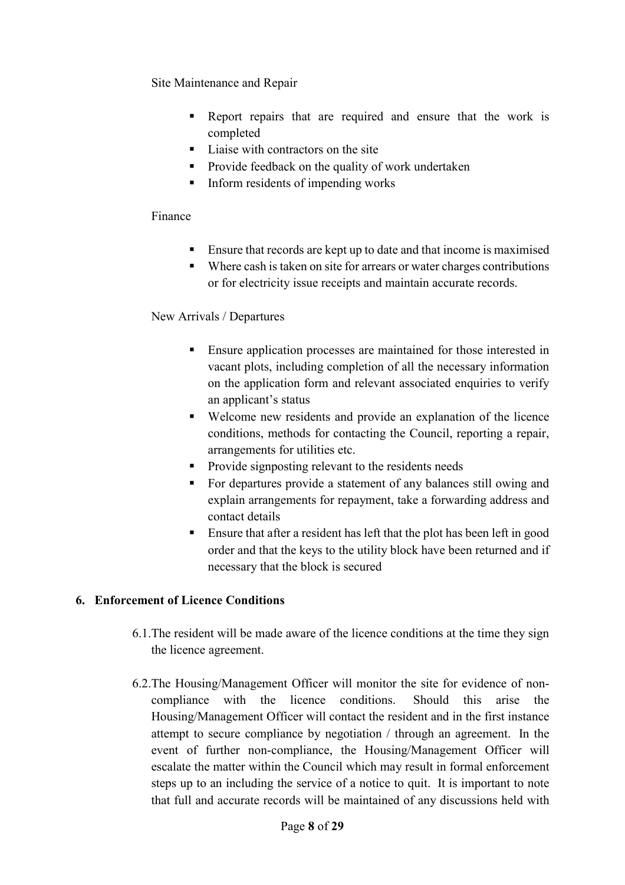Site Maintenance and Repair

- Report repairs that are required and ensure that the work is completed
- Liaise with contractors on the site
- **Provide feedback on the quality of work undertaken**
- $\blacksquare$  Inform residents of impending works

#### Finance

- Ensure that records are kept up to date and that income is maximised
- Where cash is taken on site for arrears or water charges contributions or for electricity issue receipts and maintain accurate records.

#### New Arrivals / Departures

- Ensure application processes are maintained for those interested in vacant plots, including completion of all the necessary information on the application form and relevant associated enquiries to verify an applicant's status
- Welcome new residents and provide an explanation of the licence conditions, methods for contacting the Council, reporting a repair, arrangements for utilities etc.
- Provide signposting relevant to the residents needs
- For departures provide a statement of any balances still owing and explain arrangements for repayment, take a forwarding address and contact details
- Ensure that after a resident has left that the plot has been left in good order and that the keys to the utility block have been returned and if necessary that the block is secured

# **6. Enforcement of Licence Conditions**

- 6.1.The resident will be made aware of the licence conditions at the time they sign the licence agreement.
- 6.2.The Housing/Management Officer will monitor the site for evidence of noncompliance with the licence conditions. Should this arise the Housing/Management Officer will contact the resident and in the first instance attempt to secure compliance by negotiation / through an agreement. In the event of further non-compliance, the Housing/Management Officer will escalate the matter within the Council which may result in formal enforcement steps up to an including the service of a notice to quit. It is important to note that full and accurate records will be maintained of any discussions held with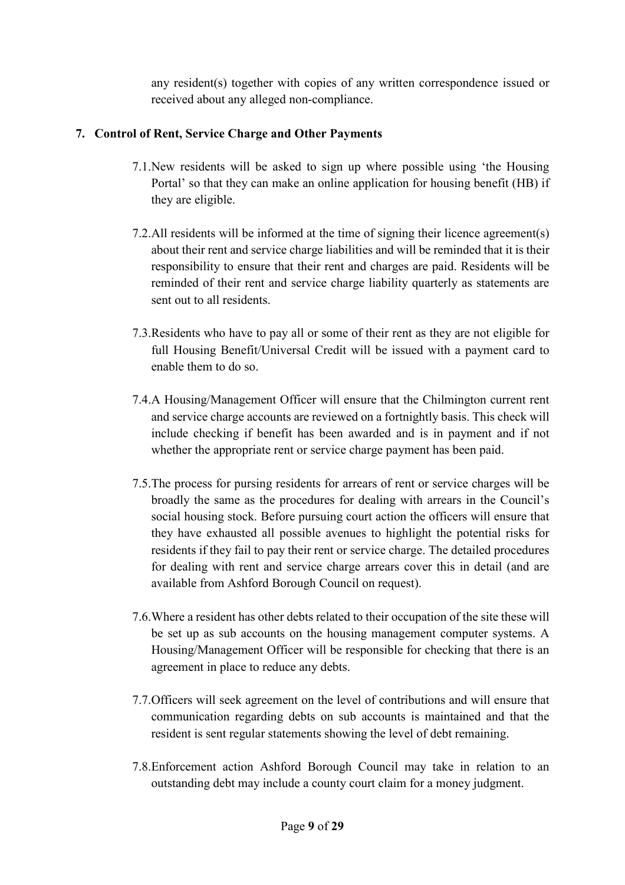any resident(s) together with copies of any written correspondence issued or received about any alleged non-compliance.

# **7. Control of Rent, Service Charge and Other Payments**

- 7.1.New residents will be asked to sign up where possible using 'the Housing Portal' so that they can make an online application for housing benefit (HB) if they are eligible.
- 7.2.All residents will be informed at the time of signing their licence agreement(s) about their rent and service charge liabilities and will be reminded that it is their responsibility to ensure that their rent and charges are paid. Residents will be reminded of their rent and service charge liability quarterly as statements are sent out to all residents.
- 7.3.Residents who have to pay all or some of their rent as they are not eligible for full Housing Benefit/Universal Credit will be issued with a payment card to enable them to do so.
- 7.4.A Housing/Management Officer will ensure that the Chilmington current rent and service charge accounts are reviewed on a fortnightly basis. This check will include checking if benefit has been awarded and is in payment and if not whether the appropriate rent or service charge payment has been paid.
- 7.5.The process for pursing residents for arrears of rent or service charges will be broadly the same as the procedures for dealing with arrears in the Council's social housing stock. Before pursuing court action the officers will ensure that they have exhausted all possible avenues to highlight the potential risks for residents if they fail to pay their rent or service charge. The detailed procedures for dealing with rent and service charge arrears cover this in detail (and are available from Ashford Borough Council on request).
- 7.6.Where a resident has other debts related to their occupation of the site these will be set up as sub accounts on the housing management computer systems. A Housing/Management Officer will be responsible for checking that there is an agreement in place to reduce any debts.
- 7.7.Officers will seek agreement on the level of contributions and will ensure that communication regarding debts on sub accounts is maintained and that the resident is sent regular statements showing the level of debt remaining.
- 7.8.Enforcement action Ashford Borough Council may take in relation to an outstanding debt may include a county court claim for a money judgment.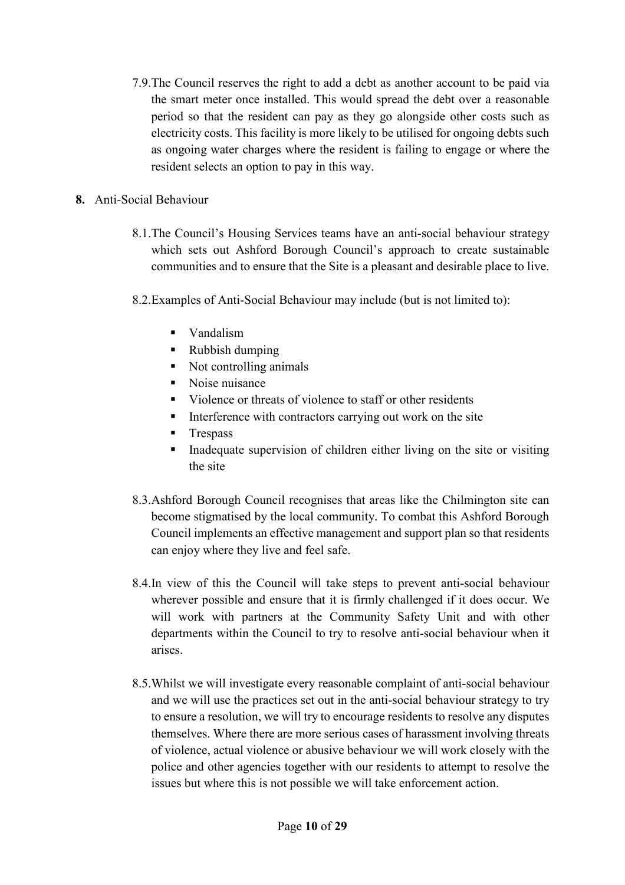- 7.9.The Council reserves the right to add a debt as another account to be paid via the smart meter once installed. This would spread the debt over a reasonable period so that the resident can pay as they go alongside other costs such as electricity costs. This facility is more likely to be utilised for ongoing debts such as ongoing water charges where the resident is failing to engage or where the resident selects an option to pay in this way.
- **8.** Anti-Social Behaviour
	- 8.1.The Council's Housing Services teams have an anti-social behaviour strategy which sets out Ashford Borough Council's approach to create sustainable communities and to ensure that the Site is a pleasant and desirable place to live.
	- 8.2.Examples of Anti-Social Behaviour may include (but is not limited to):
		- Vandalism
		- Rubbish dumping
		- Not controlling animals
		- Noise nuisance
		- Violence or threats of violence to staff or other residents
		- Interference with contractors carrying out work on the site
		- **Trespass**
		- Inadequate supervision of children either living on the site or visiting the site
	- 8.3.Ashford Borough Council recognises that areas like the Chilmington site can become stigmatised by the local community. To combat this Ashford Borough Council implements an effective management and support plan so that residents can enjoy where they live and feel safe.
	- 8.4.In view of this the Council will take steps to prevent anti-social behaviour wherever possible and ensure that it is firmly challenged if it does occur. We will work with partners at the Community Safety Unit and with other departments within the Council to try to resolve anti-social behaviour when it arises.
	- 8.5.Whilst we will investigate every reasonable complaint of anti-social behaviour and we will use the practices set out in the anti-social behaviour strategy to try to ensure a resolution, we will try to encourage residents to resolve any disputes themselves. Where there are more serious cases of harassment involving threats of violence, actual violence or abusive behaviour we will work closely with the police and other agencies together with our residents to attempt to resolve the issues but where this is not possible we will take enforcement action.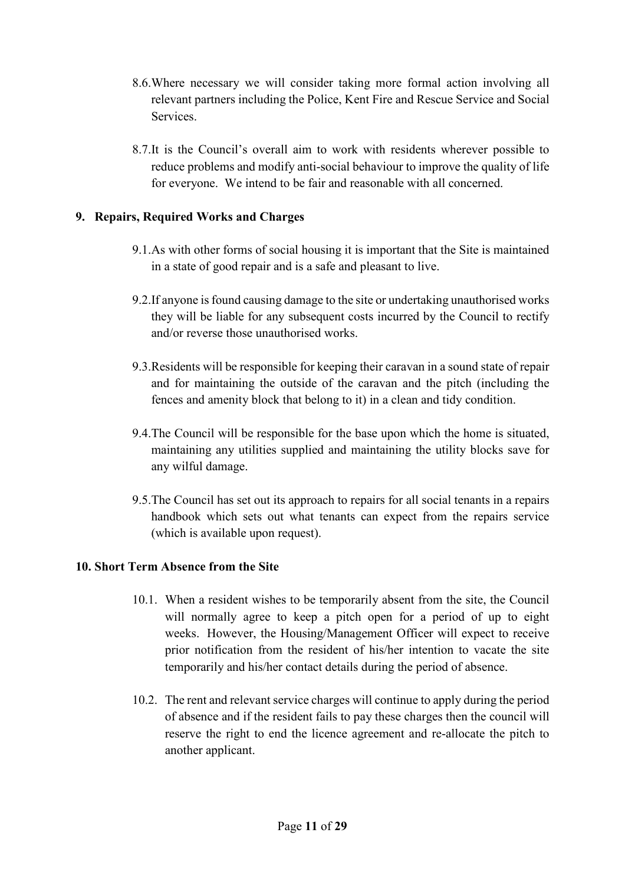- 8.6.Where necessary we will consider taking more formal action involving all relevant partners including the Police, Kent Fire and Rescue Service and Social Services.
- 8.7.It is the Council's overall aim to work with residents wherever possible to reduce problems and modify anti-social behaviour to improve the quality of life for everyone. We intend to be fair and reasonable with all concerned.

# **9. Repairs, Required Works and Charges**

- 9.1.As with other forms of social housing it is important that the Site is maintained in a state of good repair and is a safe and pleasant to live.
- 9.2.If anyone is found causing damage to the site or undertaking unauthorised works they will be liable for any subsequent costs incurred by the Council to rectify and/or reverse those unauthorised works.
- 9.3.Residents will be responsible for keeping their caravan in a sound state of repair and for maintaining the outside of the caravan and the pitch (including the fences and amenity block that belong to it) in a clean and tidy condition.
- 9.4.The Council will be responsible for the base upon which the home is situated, maintaining any utilities supplied and maintaining the utility blocks save for any wilful damage.
- 9.5.The Council has set out its approach to repairs for all social tenants in a repairs handbook which sets out what tenants can expect from the repairs service (which is available upon request).

# **10. Short Term Absence from the Site**

- 10.1. When a resident wishes to be temporarily absent from the site, the Council will normally agree to keep a pitch open for a period of up to eight weeks. However, the Housing/Management Officer will expect to receive prior notification from the resident of his/her intention to vacate the site temporarily and his/her contact details during the period of absence.
- 10.2. The rent and relevant service charges will continue to apply during the period of absence and if the resident fails to pay these charges then the council will reserve the right to end the licence agreement and re-allocate the pitch to another applicant.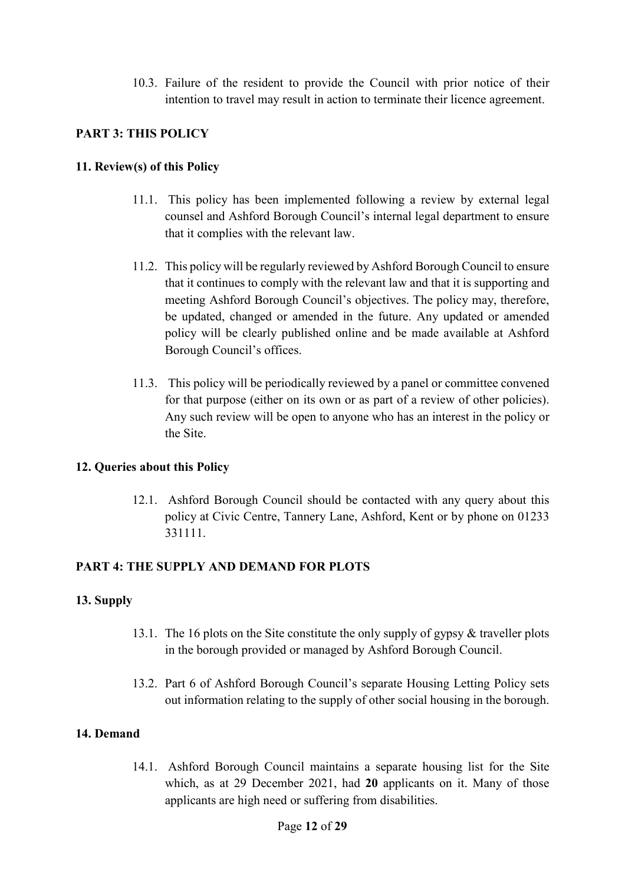10.3. Failure of the resident to provide the Council with prior notice of their intention to travel may result in action to terminate their licence agreement.

#### **PART 3: THIS POLICY**

#### **11. Review(s) of this Policy**

- 11.1. This policy has been implemented following a review by external legal counsel and Ashford Borough Council's internal legal department to ensure that it complies with the relevant law.
- 11.2. This policy will be regularly reviewed by Ashford Borough Council to ensure that it continues to comply with the relevant law and that it is supporting and meeting Ashford Borough Council's objectives. The policy may, therefore, be updated, changed or amended in the future. Any updated or amended policy will be clearly published online and be made available at Ashford Borough Council's offices.
- 11.3. This policy will be periodically reviewed by a panel or committee convened for that purpose (either on its own or as part of a review of other policies). Any such review will be open to anyone who has an interest in the policy or the Site.

# **12. Queries about this Policy**

12.1. Ashford Borough Council should be contacted with any query about this policy at Civic Centre, Tannery Lane, Ashford, Kent or by phone on 01233 331111.

# **PART 4: THE SUPPLY AND DEMAND FOR PLOTS**

#### **13. Supply**

- 13.1. The 16 plots on the Site constitute the only supply of gypsy & traveller plots in the borough provided or managed by Ashford Borough Council.
- 13.2. Part 6 of Ashford Borough Council's separate Housing Letting Policy sets out information relating to the supply of other social housing in the borough.

#### **14. Demand**

14.1. Ashford Borough Council maintains a separate housing list for the Site which, as at 29 December 2021, had **20** applicants on it. Many of those applicants are high need or suffering from disabilities.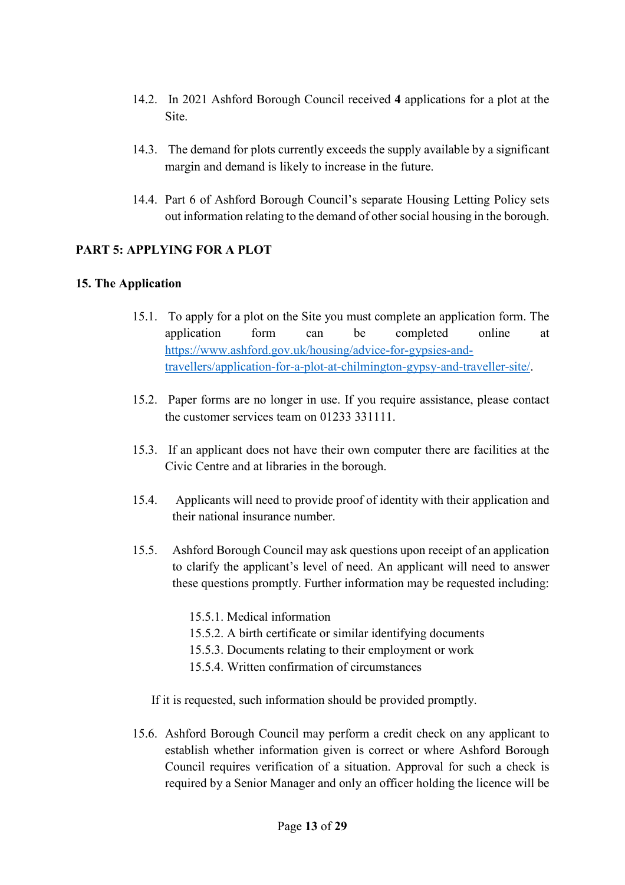- 14.2. In 2021 Ashford Borough Council received **4** applications for a plot at the Site.
- 14.3. The demand for plots currently exceeds the supply available by a significant margin and demand is likely to increase in the future.
- 14.4. Part 6 of Ashford Borough Council's separate Housing Letting Policy sets out information relating to the demand of other social housing in the borough.

#### **PART 5: APPLYING FOR A PLOT**

#### **15. The Application**

- 15.1. To apply for a plot on the Site you must complete an application form. The application form can be completed online at [https://www.ashford.gov.uk/housing/advice-for-gypsies-and](https://www.ashford.gov.uk/housing/advice-for-gypsies-and-travellers/application-for-a-plot-at-chilmington-gypsy-and-traveller-site/)[travellers/application-for-a-plot-at-chilmington-gypsy-and-traveller-site/.](https://www.ashford.gov.uk/housing/advice-for-gypsies-and-travellers/application-for-a-plot-at-chilmington-gypsy-and-traveller-site/)
- 15.2. Paper forms are no longer in use. If you require assistance, please contact the customer services team on 01233 331111.
- 15.3. If an applicant does not have their own computer there are facilities at the Civic Centre and at libraries in the borough.
- 15.4. Applicants will need to provide proof of identity with their application and their national insurance number.
- 15.5. Ashford Borough Council may ask questions upon receipt of an application to clarify the applicant's level of need. An applicant will need to answer these questions promptly. Further information may be requested including:
	- 15.5.1. Medical information
	- 15.5.2. A birth certificate or similar identifying documents
	- 15.5.3. Documents relating to their employment or work
	- 15.5.4. Written confirmation of circumstances

If it is requested, such information should be provided promptly.

15.6. Ashford Borough Council may perform a credit check on any applicant to establish whether information given is correct or where Ashford Borough Council requires verification of a situation. Approval for such a check is required by a Senior Manager and only an officer holding the licence will be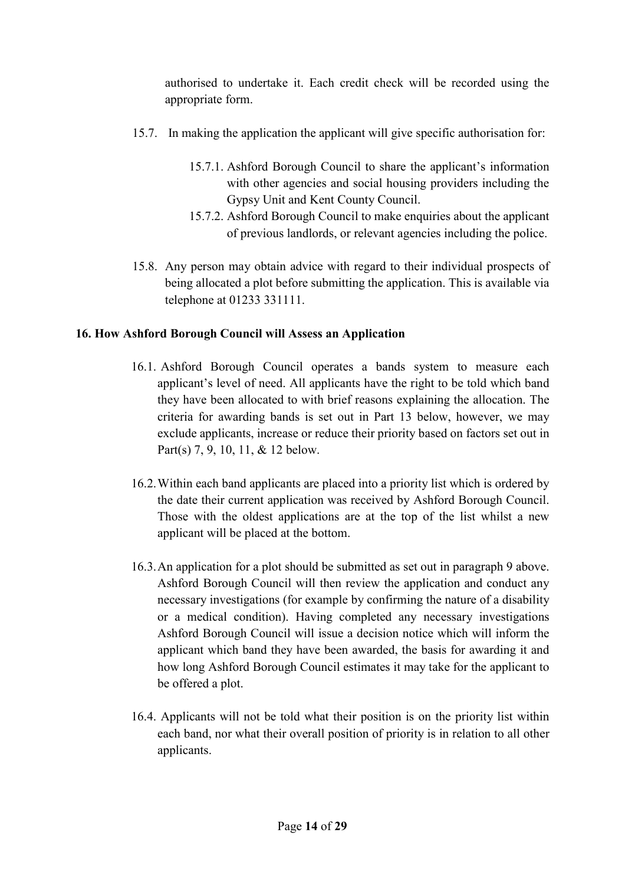authorised to undertake it. Each credit check will be recorded using the appropriate form.

- 15.7. In making the application the applicant will give specific authorisation for:
	- 15.7.1. Ashford Borough Council to share the applicant's information with other agencies and social housing providers including the Gypsy Unit and Kent County Council.
	- 15.7.2. Ashford Borough Council to make enquiries about the applicant of previous landlords, or relevant agencies including the police.
- 15.8. Any person may obtain advice with regard to their individual prospects of being allocated a plot before submitting the application. This is available via telephone at 01233 331111.

# **16. How Ashford Borough Council will Assess an Application**

- 16.1. Ashford Borough Council operates a bands system to measure each applicant's level of need. All applicants have the right to be told which band they have been allocated to with brief reasons explaining the allocation. The criteria for awarding bands is set out in Part 13 below, however, we may exclude applicants, increase or reduce their priority based on factors set out in Part(s) 7, 9, 10, 11, & 12 below.
- 16.2.Within each band applicants are placed into a priority list which is ordered by the date their current application was received by Ashford Borough Council. Those with the oldest applications are at the top of the list whilst a new applicant will be placed at the bottom.
- 16.3.An application for a plot should be submitted as set out in paragraph 9 above. Ashford Borough Council will then review the application and conduct any necessary investigations (for example by confirming the nature of a disability or a medical condition). Having completed any necessary investigations Ashford Borough Council will issue a decision notice which will inform the applicant which band they have been awarded, the basis for awarding it and how long Ashford Borough Council estimates it may take for the applicant to be offered a plot.
- 16.4. Applicants will not be told what their position is on the priority list within each band, nor what their overall position of priority is in relation to all other applicants.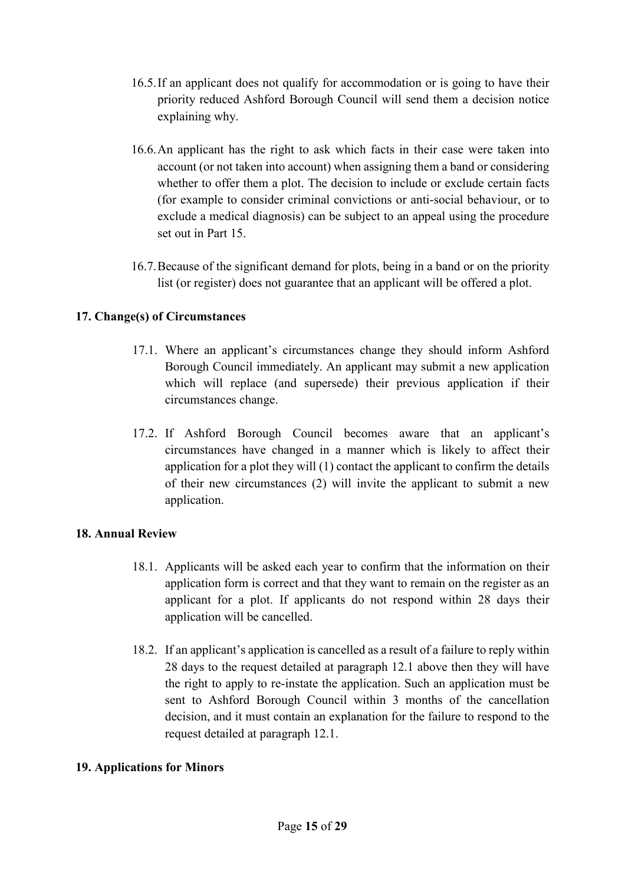- 16.5.If an applicant does not qualify for accommodation or is going to have their priority reduced Ashford Borough Council will send them a decision notice explaining why.
- 16.6.An applicant has the right to ask which facts in their case were taken into account (or not taken into account) when assigning them a band or considering whether to offer them a plot. The decision to include or exclude certain facts (for example to consider criminal convictions or anti-social behaviour, or to exclude a medical diagnosis) can be subject to an appeal using the procedure set out in Part 15.
- 16.7.Because of the significant demand for plots, being in a band or on the priority list (or register) does not guarantee that an applicant will be offered a plot.

# **17. Change(s) of Circumstances**

- 17.1. Where an applicant's circumstances change they should inform Ashford Borough Council immediately. An applicant may submit a new application which will replace (and supersede) their previous application if their circumstances change.
- 17.2. If Ashford Borough Council becomes aware that an applicant's circumstances have changed in a manner which is likely to affect their application for a plot they will (1) contact the applicant to confirm the details of their new circumstances (2) will invite the applicant to submit a new application.

# **18. Annual Review**

- 18.1. Applicants will be asked each year to confirm that the information on their application form is correct and that they want to remain on the register as an applicant for a plot. If applicants do not respond within 28 days their application will be cancelled.
- 18.2. If an applicant's application is cancelled as a result of a failure to reply within 28 days to the request detailed at paragraph 12.1 above then they will have the right to apply to re-instate the application. Such an application must be sent to Ashford Borough Council within 3 months of the cancellation decision, and it must contain an explanation for the failure to respond to the request detailed at paragraph 12.1.

# **19. Applications for Minors**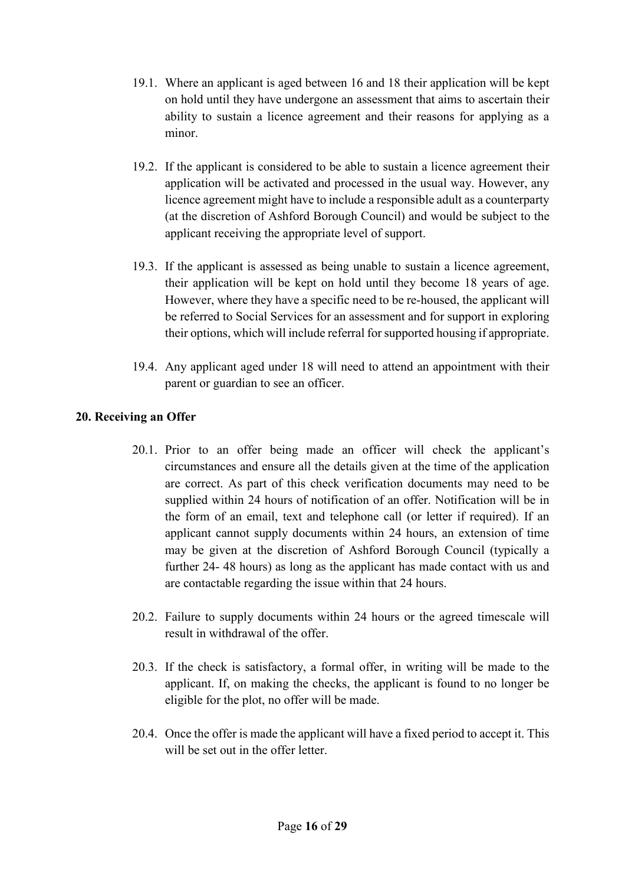- 19.1. Where an applicant is aged between 16 and 18 their application will be kept on hold until they have undergone an assessment that aims to ascertain their ability to sustain a licence agreement and their reasons for applying as a minor.
- 19.2. If the applicant is considered to be able to sustain a licence agreement their application will be activated and processed in the usual way. However, any licence agreement might have to include a responsible adult as a counterparty (at the discretion of Ashford Borough Council) and would be subject to the applicant receiving the appropriate level of support.
- 19.3. If the applicant is assessed as being unable to sustain a licence agreement, their application will be kept on hold until they become 18 years of age. However, where they have a specific need to be re-housed, the applicant will be referred to Social Services for an assessment and for support in exploring their options, which will include referral for supported housing if appropriate.
- 19.4. Any applicant aged under 18 will need to attend an appointment with their parent or guardian to see an officer.

# **20. Receiving an Offer**

- 20.1. Prior to an offer being made an officer will check the applicant's circumstances and ensure all the details given at the time of the application are correct. As part of this check verification documents may need to be supplied within 24 hours of notification of an offer. Notification will be in the form of an email, text and telephone call (or letter if required). If an applicant cannot supply documents within 24 hours, an extension of time may be given at the discretion of Ashford Borough Council (typically a further 24- 48 hours) as long as the applicant has made contact with us and are contactable regarding the issue within that 24 hours.
- 20.2. Failure to supply documents within 24 hours or the agreed timescale will result in withdrawal of the offer.
- 20.3. If the check is satisfactory, a formal offer, in writing will be made to the applicant. If, on making the checks, the applicant is found to no longer be eligible for the plot, no offer will be made.
- 20.4. Once the offer is made the applicant will have a fixed period to accept it. This will be set out in the offer letter.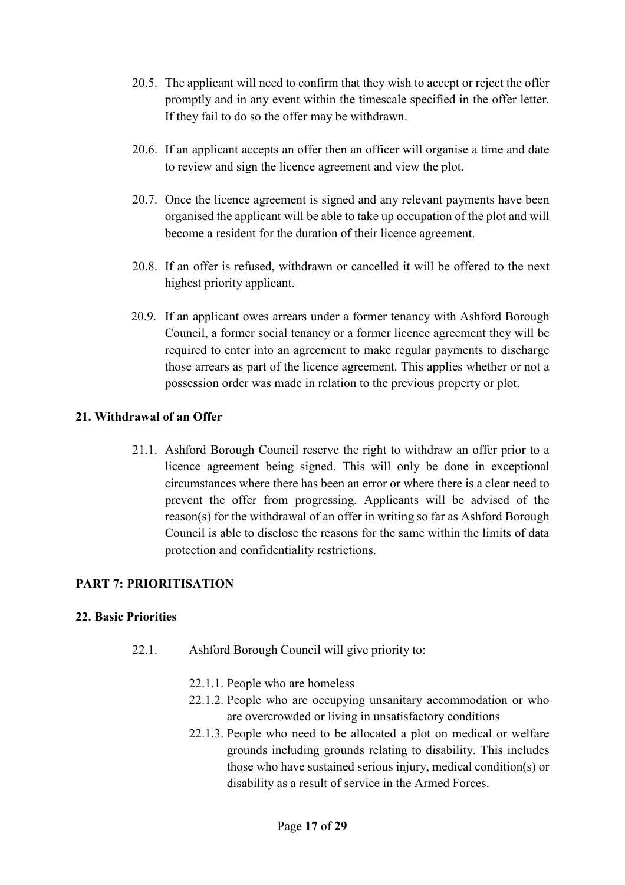- 20.5. The applicant will need to confirm that they wish to accept or reject the offer promptly and in any event within the timescale specified in the offer letter. If they fail to do so the offer may be withdrawn.
- 20.6. If an applicant accepts an offer then an officer will organise a time and date to review and sign the licence agreement and view the plot.
- 20.7. Once the licence agreement is signed and any relevant payments have been organised the applicant will be able to take up occupation of the plot and will become a resident for the duration of their licence agreement.
- 20.8. If an offer is refused, withdrawn or cancelled it will be offered to the next highest priority applicant.
- 20.9. If an applicant owes arrears under a former tenancy with Ashford Borough Council, a former social tenancy or a former licence agreement they will be required to enter into an agreement to make regular payments to discharge those arrears as part of the licence agreement. This applies whether or not a possession order was made in relation to the previous property or plot.

#### **21. Withdrawal of an Offer**

21.1. Ashford Borough Council reserve the right to withdraw an offer prior to a licence agreement being signed. This will only be done in exceptional circumstances where there has been an error or where there is a clear need to prevent the offer from progressing. Applicants will be advised of the reason(s) for the withdrawal of an offer in writing so far as Ashford Borough Council is able to disclose the reasons for the same within the limits of data protection and confidentiality restrictions.

# **PART 7: PRIORITISATION**

# **22. Basic Priorities**

- 22.1. Ashford Borough Council will give priority to:
	- 22.1.1. People who are homeless
	- 22.1.2. People who are occupying unsanitary accommodation or who are overcrowded or living in unsatisfactory conditions
	- 22.1.3. People who need to be allocated a plot on medical or welfare grounds including grounds relating to disability. This includes those who have sustained serious injury, medical condition(s) or disability as a result of service in the Armed Forces.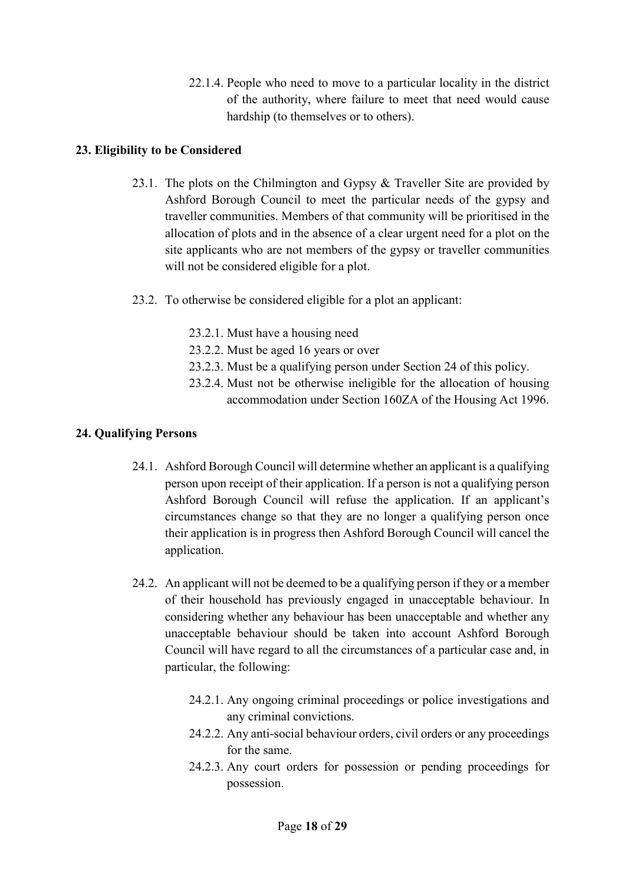22.1.4. People who need to move to a particular locality in the district of the authority, where failure to meet that need would cause hardship (to themselves or to others).

# **23. Eligibility to be Considered**

- 23.1. The plots on the Chilmington and Gypsy & Traveller Site are provided by Ashford Borough Council to meet the particular needs of the gypsy and traveller communities. Members of that community will be prioritised in the allocation of plots and in the absence of a clear urgent need for a plot on the site applicants who are not members of the gypsy or traveller communities will not be considered eligible for a plot.
- 23.2. To otherwise be considered eligible for a plot an applicant:
	- 23.2.1. Must have a housing need
	- 23.2.2. Must be aged 16 years or over
	- 23.2.3. Must be a qualifying person under Section 24 of this policy.
	- 23.2.4. Must not be otherwise ineligible for the allocation of housing accommodation under Section 160ZA of the Housing Act 1996.

# **24. Qualifying Persons**

- 24.1. Ashford Borough Council will determine whether an applicant is a qualifying person upon receipt of their application. If a person is not a qualifying person Ashford Borough Council will refuse the application. If an applicant's circumstances change so that they are no longer a qualifying person once their application is in progress then Ashford Borough Council will cancel the application.
- 24.2. An applicant will not be deemed to be a qualifying person if they or a member of their household has previously engaged in unacceptable behaviour. In considering whether any behaviour has been unacceptable and whether any unacceptable behaviour should be taken into account Ashford Borough Council will have regard to all the circumstances of a particular case and, in particular, the following:
	- 24.2.1. Any ongoing criminal proceedings or police investigations and any criminal convictions.
	- 24.2.2. Any anti-social behaviour orders, civil orders or any proceedings for the same.
	- 24.2.3. Any court orders for possession or pending proceedings for possession.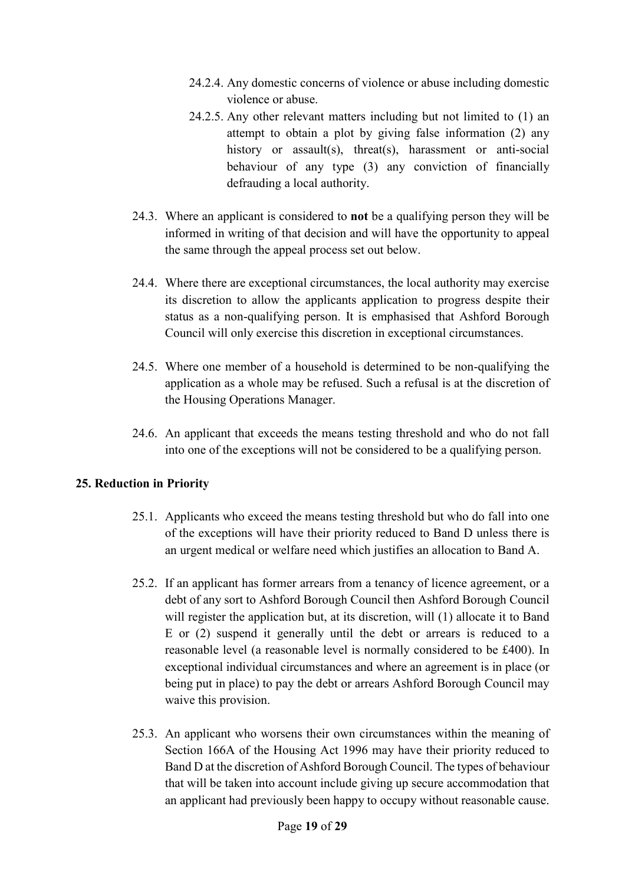- 24.2.4. Any domestic concerns of violence or abuse including domestic violence or abuse.
- 24.2.5. Any other relevant matters including but not limited to (1) an attempt to obtain a plot by giving false information (2) any history or assault(s), threat(s), harassment or anti-social behaviour of any type (3) any conviction of financially defrauding a local authority.
- 24.3. Where an applicant is considered to **not** be a qualifying person they will be informed in writing of that decision and will have the opportunity to appeal the same through the appeal process set out below.
- 24.4. Where there are exceptional circumstances, the local authority may exercise its discretion to allow the applicants application to progress despite their status as a non-qualifying person. It is emphasised that Ashford Borough Council will only exercise this discretion in exceptional circumstances.
- 24.5. Where one member of a household is determined to be non-qualifying the application as a whole may be refused. Such a refusal is at the discretion of the Housing Operations Manager.
- 24.6. An applicant that exceeds the means testing threshold and who do not fall into one of the exceptions will not be considered to be a qualifying person.

# **25. Reduction in Priority**

- 25.1. Applicants who exceed the means testing threshold but who do fall into one of the exceptions will have their priority reduced to Band D unless there is an urgent medical or welfare need which justifies an allocation to Band A.
- 25.2. If an applicant has former arrears from a tenancy of licence agreement, or a debt of any sort to Ashford Borough Council then Ashford Borough Council will register the application but, at its discretion, will (1) allocate it to Band E or (2) suspend it generally until the debt or arrears is reduced to a reasonable level (a reasonable level is normally considered to be £400). In exceptional individual circumstances and where an agreement is in place (or being put in place) to pay the debt or arrears Ashford Borough Council may waive this provision.
- 25.3. An applicant who worsens their own circumstances within the meaning of Section 166A of the Housing Act 1996 may have their priority reduced to Band D at the discretion of Ashford Borough Council. The types of behaviour that will be taken into account include giving up secure accommodation that an applicant had previously been happy to occupy without reasonable cause.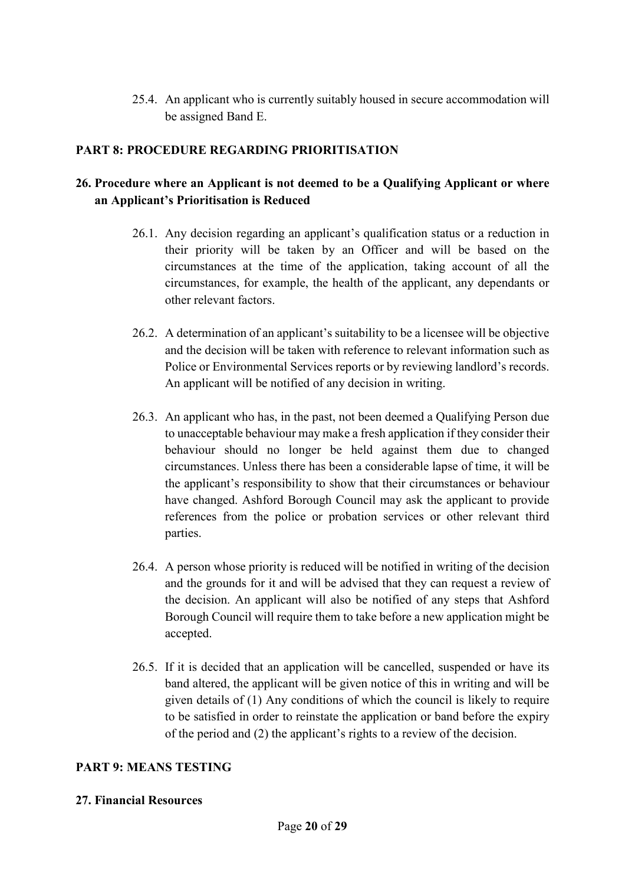25.4. An applicant who is currently suitably housed in secure accommodation will be assigned Band E.

# **PART 8: PROCEDURE REGARDING PRIORITISATION**

# **26. Procedure where an Applicant is not deemed to be a Qualifying Applicant or where an Applicant's Prioritisation is Reduced**

- 26.1. Any decision regarding an applicant's qualification status or a reduction in their priority will be taken by an Officer and will be based on the circumstances at the time of the application, taking account of all the circumstances, for example, the health of the applicant, any dependants or other relevant factors.
- 26.2. A determination of an applicant's suitability to be a licensee will be objective and the decision will be taken with reference to relevant information such as Police or Environmental Services reports or by reviewing landlord's records. An applicant will be notified of any decision in writing.
- 26.3. An applicant who has, in the past, not been deemed a Qualifying Person due to unacceptable behaviour may make a fresh application if they consider their behaviour should no longer be held against them due to changed circumstances. Unless there has been a considerable lapse of time, it will be the applicant's responsibility to show that their circumstances or behaviour have changed. Ashford Borough Council may ask the applicant to provide references from the police or probation services or other relevant third parties.
- 26.4. A person whose priority is reduced will be notified in writing of the decision and the grounds for it and will be advised that they can request a review of the decision. An applicant will also be notified of any steps that Ashford Borough Council will require them to take before a new application might be accepted.
- 26.5. If it is decided that an application will be cancelled, suspended or have its band altered, the applicant will be given notice of this in writing and will be given details of (1) Any conditions of which the council is likely to require to be satisfied in order to reinstate the application or band before the expiry of the period and (2) the applicant's rights to a review of the decision.

# **PART 9: MEANS TESTING**

#### **27. Financial Resources**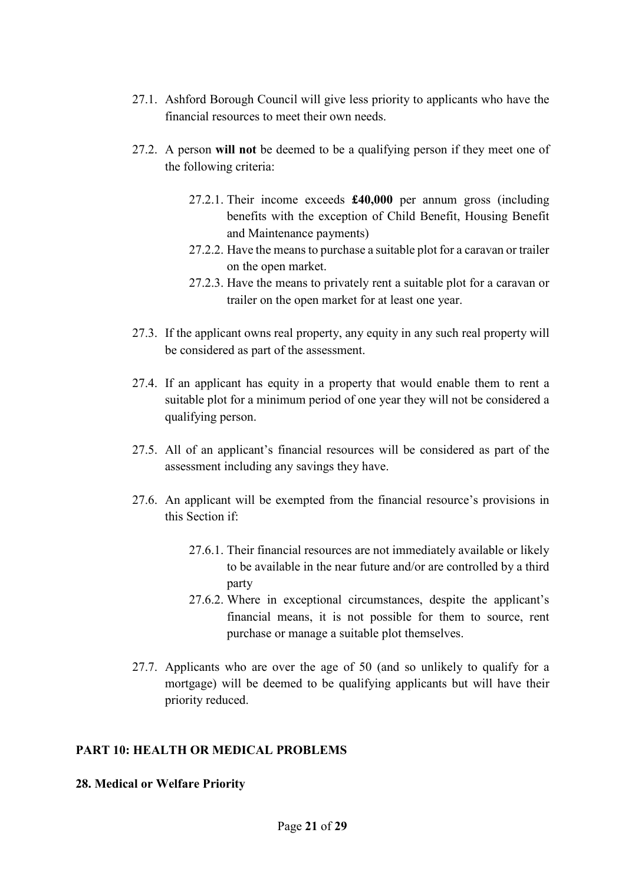- 27.1. Ashford Borough Council will give less priority to applicants who have the financial resources to meet their own needs.
- 27.2. A person **will not** be deemed to be a qualifying person if they meet one of the following criteria:
	- 27.2.1. Their income exceeds **£40,000** per annum gross (including benefits with the exception of Child Benefit, Housing Benefit and Maintenance payments)
	- 27.2.2. Have the means to purchase a suitable plot for a caravan or trailer on the open market.
	- 27.2.3. Have the means to privately rent a suitable plot for a caravan or trailer on the open market for at least one year.
- 27.3. If the applicant owns real property, any equity in any such real property will be considered as part of the assessment.
- 27.4. If an applicant has equity in a property that would enable them to rent a suitable plot for a minimum period of one year they will not be considered a qualifying person.
- 27.5. All of an applicant's financial resources will be considered as part of the assessment including any savings they have.
- 27.6. An applicant will be exempted from the financial resource's provisions in this Section if:
	- 27.6.1. Their financial resources are not immediately available or likely to be available in the near future and/or are controlled by a third party
	- 27.6.2. Where in exceptional circumstances, despite the applicant's financial means, it is not possible for them to source, rent purchase or manage a suitable plot themselves.
- 27.7. Applicants who are over the age of 50 (and so unlikely to qualify for a mortgage) will be deemed to be qualifying applicants but will have their priority reduced.

# **PART 10: HEALTH OR MEDICAL PROBLEMS**

#### **28. Medical or Welfare Priority**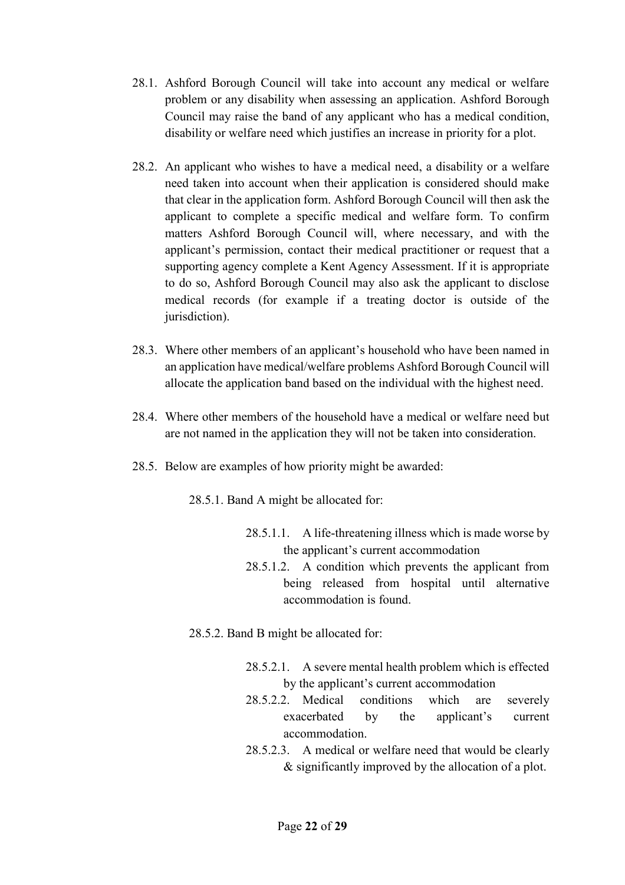- 28.1. Ashford Borough Council will take into account any medical or welfare problem or any disability when assessing an application. Ashford Borough Council may raise the band of any applicant who has a medical condition, disability or welfare need which justifies an increase in priority for a plot.
- 28.2. An applicant who wishes to have a medical need, a disability or a welfare need taken into account when their application is considered should make that clear in the application form. Ashford Borough Council will then ask the applicant to complete a specific medical and welfare form. To confirm matters Ashford Borough Council will, where necessary, and with the applicant's permission, contact their medical practitioner or request that a supporting agency complete a Kent Agency Assessment. If it is appropriate to do so, Ashford Borough Council may also ask the applicant to disclose medical records (for example if a treating doctor is outside of the jurisdiction).
- 28.3. Where other members of an applicant's household who have been named in an application have medical/welfare problems Ashford Borough Council will allocate the application band based on the individual with the highest need.
- 28.4. Where other members of the household have a medical or welfare need but are not named in the application they will not be taken into consideration.
- 28.5. Below are examples of how priority might be awarded:

28.5.1. Band A might be allocated for:

- 28.5.1.1. A life-threatening illness which is made worse by the applicant's current accommodation
- 28.5.1.2. A condition which prevents the applicant from being released from hospital until alternative accommodation is found.
- 28.5.2. Band B might be allocated for:
	- 28.5.2.1. A severe mental health problem which is effected by the applicant's current accommodation
	- 28.5.2.2. Medical conditions which are severely exacerbated by the applicant's current accommodation.
	- 28.5.2.3. A medical or welfare need that would be clearly & significantly improved by the allocation of a plot.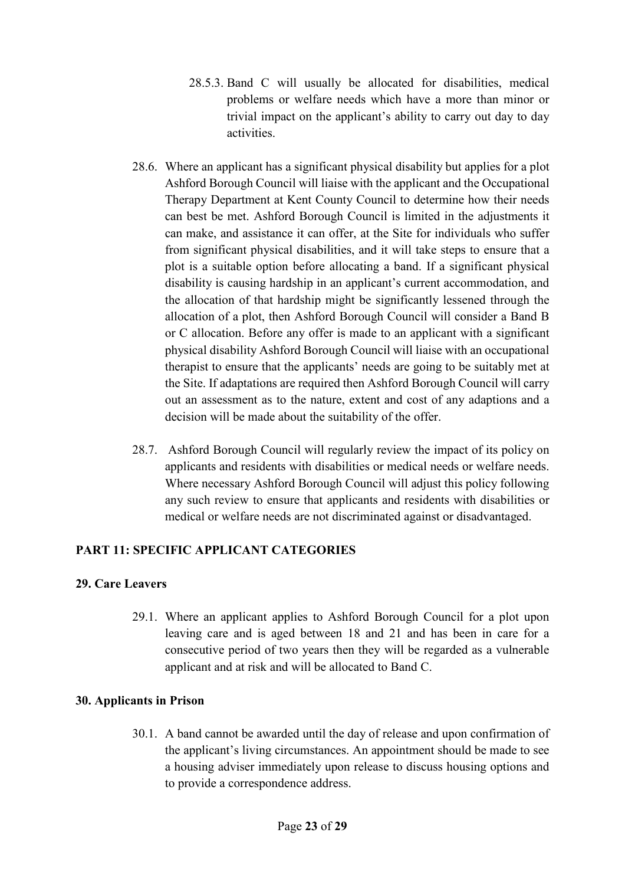- 28.5.3. Band C will usually be allocated for disabilities, medical problems or welfare needs which have a more than minor or trivial impact on the applicant's ability to carry out day to day activities.
- 28.6. Where an applicant has a significant physical disability but applies for a plot Ashford Borough Council will liaise with the applicant and the Occupational Therapy Department at Kent County Council to determine how their needs can best be met. Ashford Borough Council is limited in the adjustments it can make, and assistance it can offer, at the Site for individuals who suffer from significant physical disabilities, and it will take steps to ensure that a plot is a suitable option before allocating a band. If a significant physical disability is causing hardship in an applicant's current accommodation, and the allocation of that hardship might be significantly lessened through the allocation of a plot, then Ashford Borough Council will consider a Band B or C allocation. Before any offer is made to an applicant with a significant physical disability Ashford Borough Council will liaise with an occupational therapist to ensure that the applicants' needs are going to be suitably met at the Site. If adaptations are required then Ashford Borough Council will carry out an assessment as to the nature, extent and cost of any adaptions and a decision will be made about the suitability of the offer.
- 28.7. Ashford Borough Council will regularly review the impact of its policy on applicants and residents with disabilities or medical needs or welfare needs. Where necessary Ashford Borough Council will adjust this policy following any such review to ensure that applicants and residents with disabilities or medical or welfare needs are not discriminated against or disadvantaged.

# **PART 11: SPECIFIC APPLICANT CATEGORIES**

#### **29. Care Leavers**

29.1. Where an applicant applies to Ashford Borough Council for a plot upon leaving care and is aged between 18 and 21 and has been in care for a consecutive period of two years then they will be regarded as a vulnerable applicant and at risk and will be allocated to Band C.

# **30. Applicants in Prison**

30.1. A band cannot be awarded until the day of release and upon confirmation of the applicant's living circumstances. An appointment should be made to see a housing adviser immediately upon release to discuss housing options and to provide a correspondence address.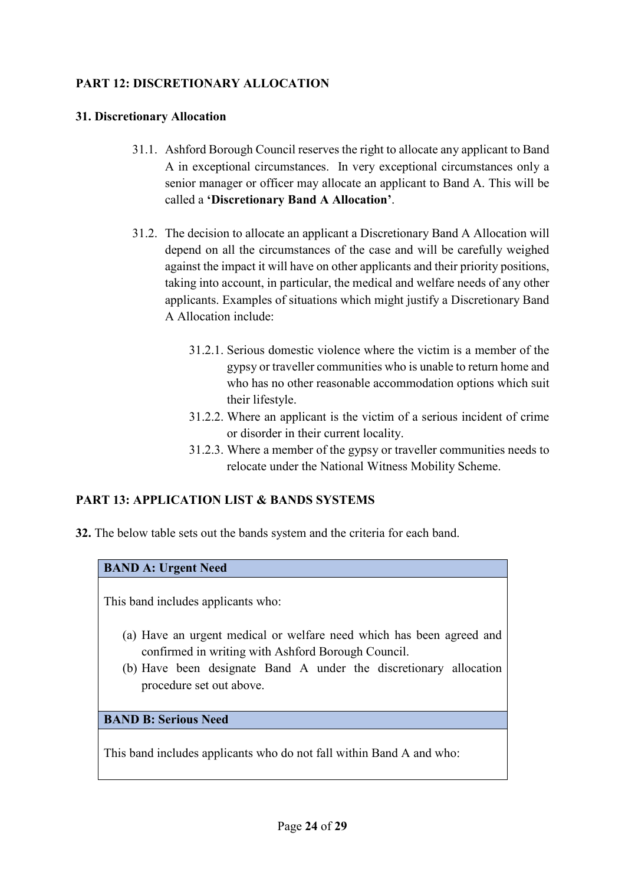# **PART 12: DISCRETIONARY ALLOCATION**

#### **31. Discretionary Allocation**

- 31.1. Ashford Borough Council reserves the right to allocate any applicant to Band A in exceptional circumstances. In very exceptional circumstances only a senior manager or officer may allocate an applicant to Band A. This will be called a **'Discretionary Band A Allocation'**.
- 31.2. The decision to allocate an applicant a Discretionary Band A Allocation will depend on all the circumstances of the case and will be carefully weighed against the impact it will have on other applicants and their priority positions, taking into account, in particular, the medical and welfare needs of any other applicants. Examples of situations which might justify a Discretionary Band A Allocation include:
	- 31.2.1. Serious domestic violence where the victim is a member of the gypsy or traveller communities who is unable to return home and who has no other reasonable accommodation options which suit their lifestyle.
	- 31.2.2. Where an applicant is the victim of a serious incident of crime or disorder in their current locality.
	- 31.2.3. Where a member of the gypsy or traveller communities needs to relocate under the National Witness Mobility Scheme.

# **PART 13: APPLICATION LIST & BANDS SYSTEMS**

**32.** The below table sets out the bands system and the criteria for each band.

#### **BAND A: Urgent Need**

This band includes applicants who:

- (a) Have an urgent medical or welfare need which has been agreed and confirmed in writing with Ashford Borough Council.
- (b) Have been designate Band A under the discretionary allocation procedure set out above.

**BAND B: Serious Need** 

This band includes applicants who do not fall within Band A and who: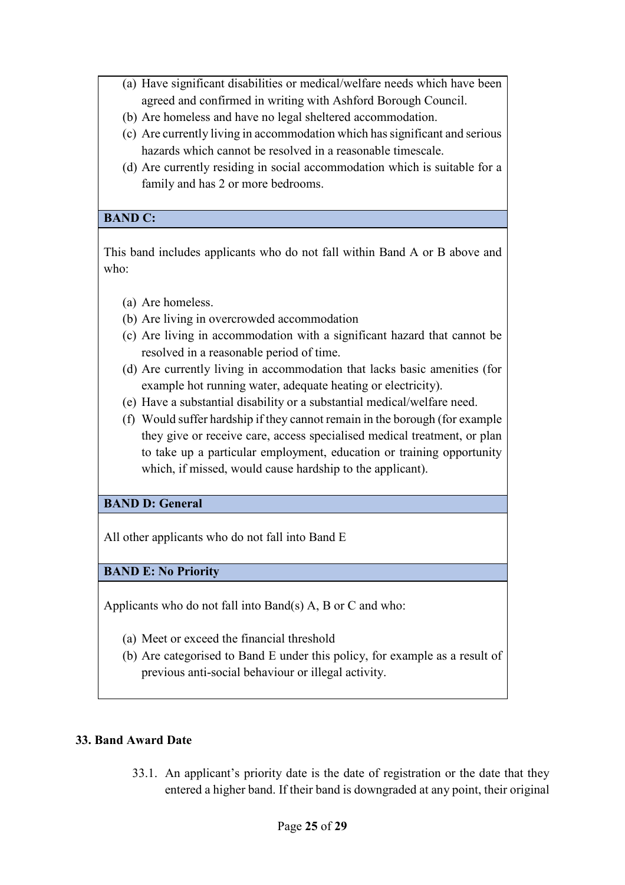- (a) Have significant disabilities or medical/welfare needs which have been agreed and confirmed in writing with Ashford Borough Council.
- (b) Are homeless and have no legal sheltered accommodation.
- (c) Are currently living in accommodation which has significant and serious hazards which cannot be resolved in a reasonable timescale.
- (d) Are currently residing in social accommodation which is suitable for a family and has 2 or more bedrooms.

#### **BAND C:**

This band includes applicants who do not fall within Band A or B above and who:

- (a) Are homeless.
- (b) Are living in overcrowded accommodation
- (c) Are living in accommodation with a significant hazard that cannot be resolved in a reasonable period of time.
- (d) Are currently living in accommodation that lacks basic amenities (for example hot running water, adequate heating or electricity).
- (e) Have a substantial disability or a substantial medical/welfare need.
- (f) Would suffer hardship if they cannot remain in the borough (for example they give or receive care, access specialised medical treatment, or plan to take up a particular employment, education or training opportunity which, if missed, would cause hardship to the applicant).

# **BAND D: General**

All other applicants who do not fall into Band E

# **BAND E: No Priority**

Applicants who do not fall into Band(s) A, B or C and who:

- (a) Meet or exceed the financial threshold
- (b) Are categorised to Band E under this policy, for example as a result of previous anti-social behaviour or illegal activity.

# **33. Band Award Date**

33.1. An applicant's priority date is the date of registration or the date that they entered a higher band. If their band is downgraded at any point, their original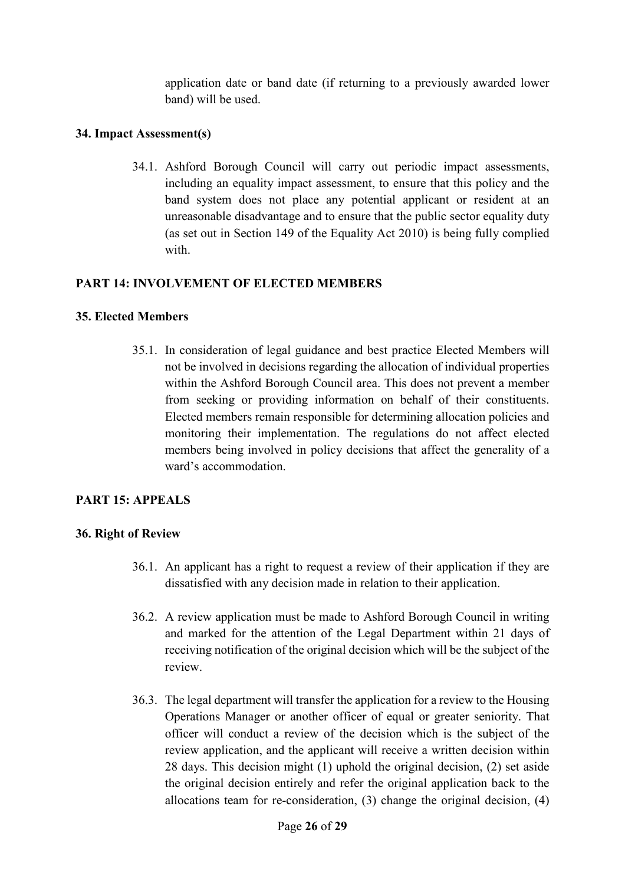application date or band date (if returning to a previously awarded lower band) will be used.

#### **34. Impact Assessment(s)**

34.1. Ashford Borough Council will carry out periodic impact assessments, including an equality impact assessment, to ensure that this policy and the band system does not place any potential applicant or resident at an unreasonable disadvantage and to ensure that the public sector equality duty (as set out in Section 149 of the Equality Act 2010) is being fully complied with.

# **PART 14: INVOLVEMENT OF ELECTED MEMBERS**

#### **35. Elected Members**

35.1. In consideration of legal guidance and best practice Elected Members will not be involved in decisions regarding the allocation of individual properties within the Ashford Borough Council area. This does not prevent a member from seeking or providing information on behalf of their constituents. Elected members remain responsible for determining allocation policies and monitoring their implementation. The regulations do not affect elected members being involved in policy decisions that affect the generality of a ward's accommodation.

# **PART 15: APPEALS**

#### **36. Right of Review**

- 36.1. An applicant has a right to request a review of their application if they are dissatisfied with any decision made in relation to their application.
- 36.2. A review application must be made to Ashford Borough Council in writing and marked for the attention of the Legal Department within 21 days of receiving notification of the original decision which will be the subject of the review.
- 36.3. The legal department will transfer the application for a review to the Housing Operations Manager or another officer of equal or greater seniority. That officer will conduct a review of the decision which is the subject of the review application, and the applicant will receive a written decision within 28 days. This decision might (1) uphold the original decision, (2) set aside the original decision entirely and refer the original application back to the allocations team for re-consideration, (3) change the original decision, (4)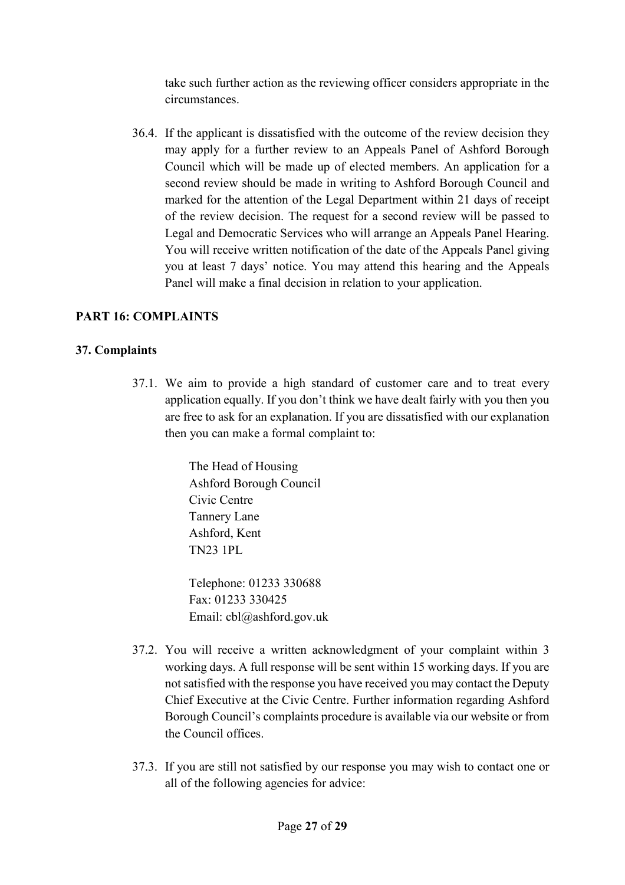take such further action as the reviewing officer considers appropriate in the circumstances.

36.4. If the applicant is dissatisfied with the outcome of the review decision they may apply for a further review to an Appeals Panel of Ashford Borough Council which will be made up of elected members. An application for a second review should be made in writing to Ashford Borough Council and marked for the attention of the Legal Department within 21 days of receipt of the review decision. The request for a second review will be passed to Legal and Democratic Services who will arrange an Appeals Panel Hearing. You will receive written notification of the date of the Appeals Panel giving you at least 7 days' notice. You may attend this hearing and the Appeals Panel will make a final decision in relation to your application.

#### **PART 16: COMPLAINTS**

#### **37. Complaints**

37.1. We aim to provide a high standard of customer care and to treat every application equally. If you don't think we have dealt fairly with you then you are free to ask for an explanation. If you are dissatisfied with our explanation then you can make a formal complaint to:

> The Head of Housing Ashford Borough Council Civic Centre Tannery Lane Ashford, Kent TN23 1PL

Telephone: 01233 330688 Fax: 01233 330425 Email: cbl@ashford.gov.uk

- 37.2. You will receive a written acknowledgment of your complaint within 3 working days. A full response will be sent within 15 working days. If you are not satisfied with the response you have received you may contact the Deputy Chief Executive at the Civic Centre. Further information regarding Ashford Borough Council's complaints procedure is available via our website or from the Council offices.
- 37.3. If you are still not satisfied by our response you may wish to contact one or all of the following agencies for advice: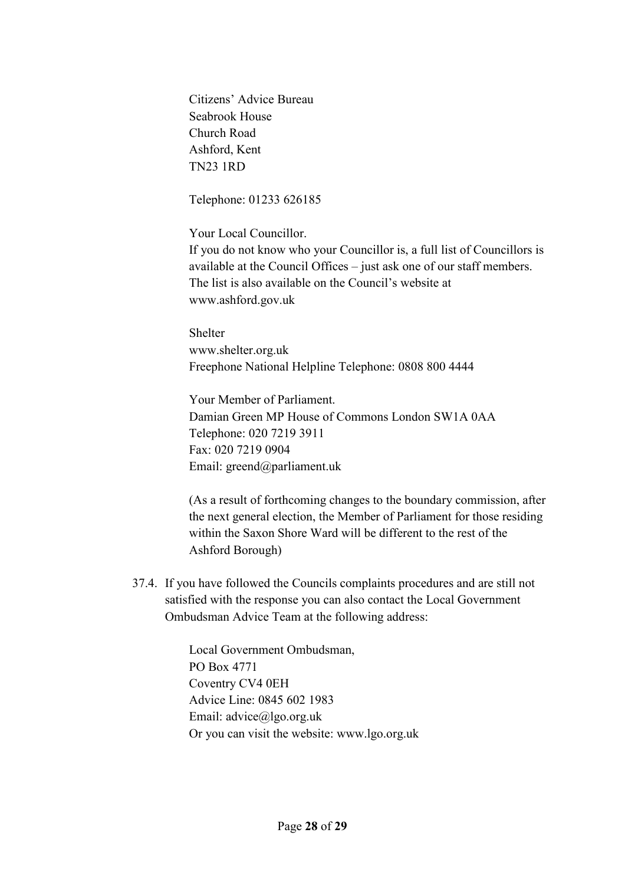Citizens' Advice Bureau Seabrook House Church Road Ashford, Kent TN23 1RD

Telephone: 01233 626185

Your Local Councillor.

If you do not know who your Councillor is, a full list of Councillors is available at the Council Offices – just ask one of our staff members. The list is also available on the Council's website at www.ashford.gov.uk

Shelter www.shelter.org.uk Freephone National Helpline Telephone: 0808 800 4444

Your Member of Parliament. Damian Green MP House of Commons London SW1A 0AA Telephone: 020 7219 3911 Fax: 020 7219 0904 Email: greend@parliament.uk

(As a result of forthcoming changes to the boundary commission, after the next general election, the Member of Parliament for those residing within the Saxon Shore Ward will be different to the rest of the Ashford Borough)

37.4. If you have followed the Councils complaints procedures and are still not satisfied with the response you can also contact the Local Government Ombudsman Advice Team at the following address:

> Local Government Ombudsman, PO Box 4771 Coventry CV4 0EH Advice Line: 0845 602 1983 Email: advice@lgo.org.uk Or you can visit the website: www.lgo.org.uk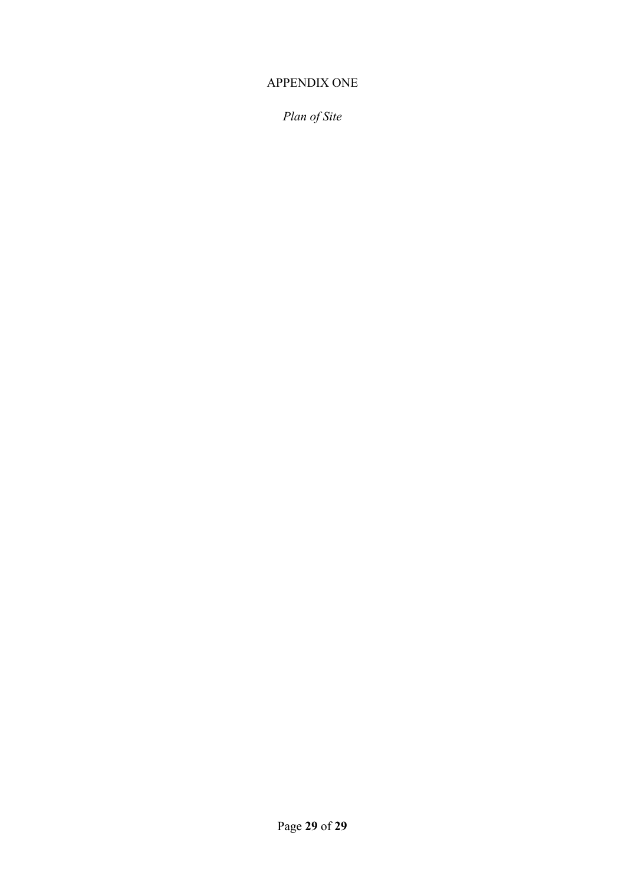# APPENDIX ONE

*Plan of Site*